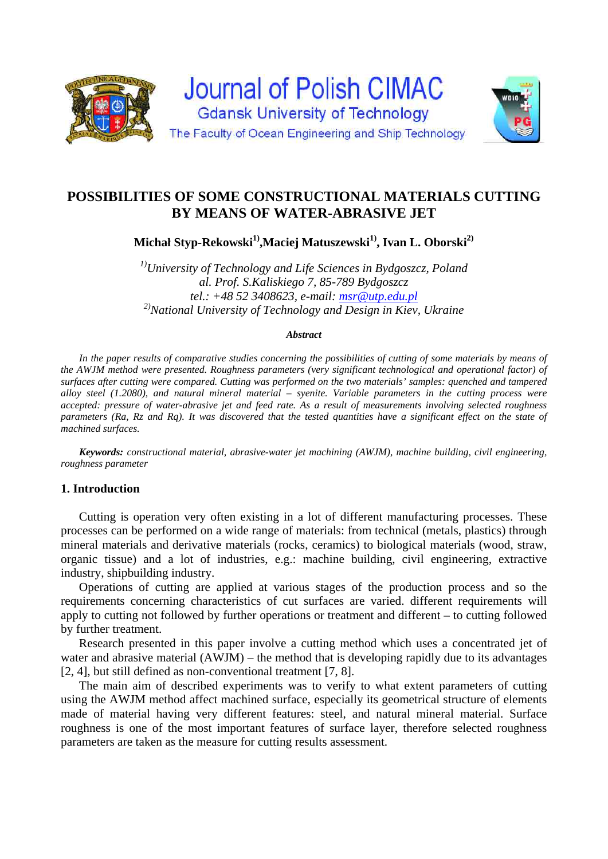

# **POSSIBILITIES OF SOME CONSTRUCTIONAL MATERIALS CUTTING BY MEANS OF WATER-ABRASIVE JET**

**Michał Styp-Rekowski<sup>1)</sup>,Maciej Matuszewski<sup>1)</sup>, Ivan L. Oborski<sup>2)</sup>** 

*1)University of Technology and Life Sciences in Bydgoszcz, Poland al. Prof. S.Kaliskiego 7, 85-789 Bydgoszcz tel.: +48 52 3408623, e-mail: msr@utp.edu.pl 2)National University of Technology and Design in Kiev, Ukraine* 

#### *Abstract*

In the paper results of comparative studies concerning the possibilities of cutting of some materials by means of *the AWJM method were presented. Roughness parameters (very significant technological and operational factor) of surfaces after cutting were compared. Cutting was performed on the two materials' samples: quenched and tampered alloy steel (1.2080), and natural mineral material – syenite. Variable parameters in the cutting process were accepted: pressure of water-abrasive jet and feed rate. As a result of measurements involving selected roughness parameters (Ra, Rz and Rq). It was discovered that the tested quantities have a significant effect on the state of machined surfaces.* 

*Keywords: constructional material, abrasive-water jet machining (AWJM), machine building, civil engineering, roughness parameter* 

# **1. Introduction**

Cutting is operation very often existing in a lot of different manufacturing processes. These processes can be performed on a wide range of materials: from technical (metals, plastics) through mineral materials and derivative materials (rocks, ceramics) to biological materials (wood, straw, organic tissue) and a lot of industries, e.g.: machine building, civil engineering, extractive industry, shipbuilding industry.

Operations of cutting are applied at various stages of the production process and so the requirements concerning characteristics of cut surfaces are varied. different requirements will apply to cutting not followed by further operations or treatment and different – to cutting followed by further treatment.

Research presented in this paper involve a cutting method which uses a concentrated jet of water and abrasive material (AWJM) – the method that is developing rapidly due to its advantages [2, 4], but still defined as non-conventional treatment [7, 8].

The main aim of described experiments was to verify to what extent parameters of cutting using the AWJM method affect machined surface, especially its geometrical structure of elements made of material having very different features: steel, and natural mineral material. Surface roughness is one of the most important features of surface layer, therefore selected roughness parameters are taken as the measure for cutting results assessment.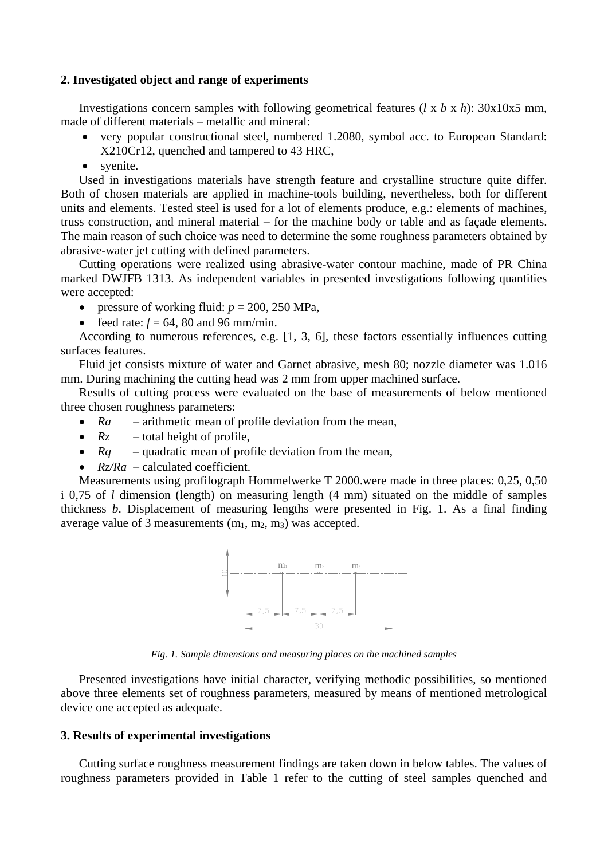# **2. Investigated object and range of experiments**

Investigations concern samples with following geometrical features (*l* x *b* x *h*): 30x10x5 mm, made of different materials – metallic and mineral:

- very popular constructional steel, numbered 1.2080, symbol acc. to European Standard: X210Cr12, quenched and tampered to 43 HRC,
- syenite.

Used in investigations materials have strength feature and crystalline structure quite differ. Both of chosen materials are applied in machine-tools building, nevertheless, both for different units and elements. Tested steel is used for a lot of elements produce, e.g.: elements of machines, truss construction, and mineral material – for the machine body or table and as façade elements. The main reason of such choice was need to determine the some roughness parameters obtained by abrasive-water jet cutting with defined parameters.

Cutting operations were realized using abrasive-water contour machine, made of PR China marked DWJFB 1313. As independent variables in presented investigations following quantities were accepted:

- pressure of working fluid:  $p = 200$ , 250 MPa,
- feed rate:  $f = 64$ , 80 and 96 mm/min.

According to numerous references, e.g. [1, 3, 6], these factors essentially influences cutting surfaces features.

Fluid jet consists mixture of water and Garnet abrasive, mesh 80; nozzle diameter was 1.016 mm. During machining the cutting head was 2 mm from upper machined surface.

Results of cutting process were evaluated on the base of measurements of below mentioned three chosen roughness parameters:

- Ra arithmetic mean of profile deviation from the mean,
- $Rz$  total height of profile,
- *Rq* quadratic mean of profile deviation from the mean,
- $Rz/Ra$  calculated coefficient.

Measurements using profilograph Hommelwerke T 2000.were made in three places: 0,25, 0,50 i 0,75 of *l* dimension (length) on measuring length (4 mm) situated on the middle of samples thickness *b*. Displacement of measuring lengths were presented in Fig. 1. As a final finding average value of 3 measurements  $(m_1, m_2, m_3)$  was accepted.



*Fig. 1. Sample dimensions and measuring places on the machined samples* 

Presented investigations have initial character, verifying methodic possibilities, so mentioned above three elements set of roughness parameters, measured by means of mentioned metrological device one accepted as adequate.

# **3. Results of experimental investigations**

Cutting surface roughness measurement findings are taken down in below tables. The values of roughness parameters provided in Table 1 refer to the cutting of steel samples quenched and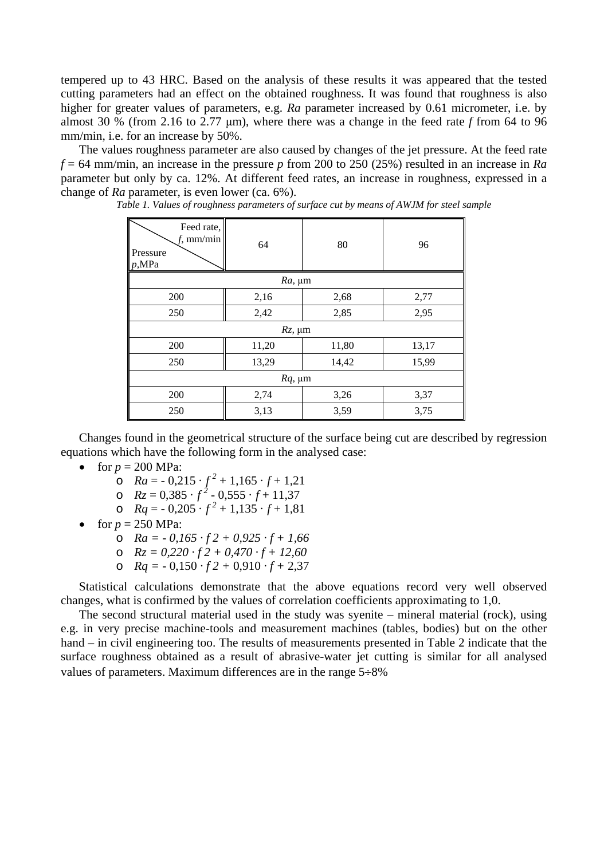tempered up to 43 HRC. Based on the analysis of these results it was appeared that the tested cutting parameters had an effect on the obtained roughness. It was found that roughness is also higher for greater values of parameters, e.g. *Ra* parameter increased by 0.61 micrometer, i.e. by almost 30 % (from 2.16 to 2.77 μm), where there was a change in the feed rate *f* from 64 to 96 mm/min, i.e. for an increase by 50%.

The values roughness parameter are also caused by changes of the jet pressure. At the feed rate  $f = 64$  mm/min, an increase in the pressure *p* from 200 to 250 (25%) resulted in an increase in *Ra* parameter but only by ca. 12%. At different feed rates, an increase in roughness, expressed in a change of *Ra* parameter, is even lower (ca. 6%).

| Feed rate,<br>$f$ , mm/min<br>Pressure<br>p, MPa | 64    | 80    | 96    |  |  |  |
|--------------------------------------------------|-------|-------|-------|--|--|--|
| $Ra$ , $\mu$ m                                   |       |       |       |  |  |  |
| 200                                              | 2,16  | 2,68  | 2,77  |  |  |  |
| 250                                              | 2,42  | 2,85  | 2,95  |  |  |  |
| $Rz$ , $\mu$ m                                   |       |       |       |  |  |  |
| 200                                              | 11,20 | 11,80 | 13,17 |  |  |  |
| 250                                              | 13,29 | 14,42 | 15,99 |  |  |  |
| $Rq$ , µm                                        |       |       |       |  |  |  |
| 200                                              | 2,74  | 3,26  | 3,37  |  |  |  |
| 250                                              | 3,13  | 3,59  | 3,75  |  |  |  |

*Table 1. Values of roughness parameters of surface cut by means of AWJM for steel sample* 

Changes found in the geometrical structure of the surface being cut are described by regression equations which have the following form in the analysed case:

- for  $p = 200$  MPa:
	- o  $Ra = -0.215 \cdot f^2 + 1.165 \cdot f + 1.21$
	- o  $Rz = 0,385 \cdot f^2 0,555 \cdot f + 11,37$
	- o  $Rq = -0.205 \cdot f^2 + 1.135 \cdot f + 1.81$
- for  $p = 250$  MPa:
	- o *Ra = 0,165 · f 2 + 0,925 · f + 1,66*
	- o *Rz = 0,220 · f 2 + 0,470 · f + 12,60*
	- o *Rq =* 0,150 *· f 2 +* 0,910 *· f +* 2,37

Statistical calculations demonstrate that the above equations record very well observed changes, what is confirmed by the values of correlation coefficients approximating to 1,0.

The second structural material used in the study was syenite – mineral material (rock), using e.g. in very precise machine-tools and measurement machines (tables, bodies) but on the other hand – in civil engineering too. The results of measurements presented in Table 2 indicate that the surface roughness obtained as a result of abrasive-water jet cutting is similar for all analysed values of parameters. Maximum differences are in the range  $5\div 8\%$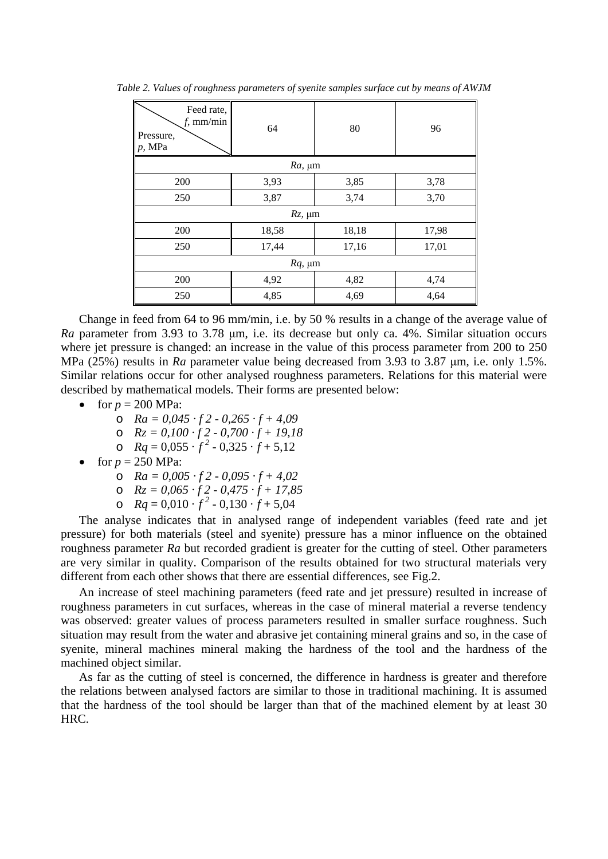| Feed rate,<br>$f$ , mm/min<br>Pressure,<br>$p$ , MPa | 64    | 80    | 96    |  |  |  |
|------------------------------------------------------|-------|-------|-------|--|--|--|
| $Ra$ , $\mu$ m                                       |       |       |       |  |  |  |
| 200                                                  | 3,93  | 3,85  | 3,78  |  |  |  |
| 250                                                  | 3,87  | 3,74  | 3,70  |  |  |  |
| $Rz$ , $\mu$ m                                       |       |       |       |  |  |  |
| 200                                                  | 18,58 | 18,18 | 17,98 |  |  |  |
| 250                                                  | 17,44 | 17,16 | 17,01 |  |  |  |
| $Rq$ , $\mu$ m                                       |       |       |       |  |  |  |
| 200                                                  | 4,92  | 4,82  | 4,74  |  |  |  |
| 250                                                  | 4,85  | 4,69  | 4,64  |  |  |  |

*Table 2. Values of roughness parameters of syenite samples surface cut by means of AWJM* 

Change in feed from 64 to 96 mm/min, i.e. by 50 % results in a change of the average value of *Ra* parameter from 3.93 to 3.78 μm, i.e. its decrease but only ca. 4%. Similar situation occurs where jet pressure is changed: an increase in the value of this process parameter from 200 to 250 MPa (25%) results in *Ra* parameter value being decreased from 3.93 to 3.87 μm, i.e. only 1.5%. Similar relations occur for other analysed roughness parameters. Relations for this material were described by mathematical models. Their forms are presented below:

- for  $p = 200$  MPa:
	- o *Ra = 0,045 · f 2 0,265 · f + 4,09*
	- o *Rz = 0,100 · f 2 0,700 · f + 19,18*
	- o  $Rq = 0.055 \cdot f^2 0.325 \cdot f + 5.12$
- for  $p = 250$  MPa:
	- o *Ra = 0,005 · f 2 0,095 · f + 4,02*
	- o *Rz = 0,065 · f 2 0,475 · f + 17,85*
	- o  $Rq = 0.010 \cdot f^2 0.130 \cdot f + 5.04$

The analyse indicates that in analysed range of independent variables (feed rate and jet pressure) for both materials (steel and syenite) pressure has a minor influence on the obtained roughness parameter *Ra* but recorded gradient is greater for the cutting of steel. Other parameters are very similar in quality. Comparison of the results obtained for two structural materials very different from each other shows that there are essential differences, see Fig.2.

An increase of steel machining parameters (feed rate and jet pressure) resulted in increase of roughness parameters in cut surfaces, whereas in the case of mineral material a reverse tendency was observed: greater values of process parameters resulted in smaller surface roughness. Such situation may result from the water and abrasive jet containing mineral grains and so, in the case of syenite, mineral machines mineral making the hardness of the tool and the hardness of the machined object similar.

As far as the cutting of steel is concerned, the difference in hardness is greater and therefore the relations between analysed factors are similar to those in traditional machining. It is assumed that the hardness of the tool should be larger than that of the machined element by at least 30 HRC.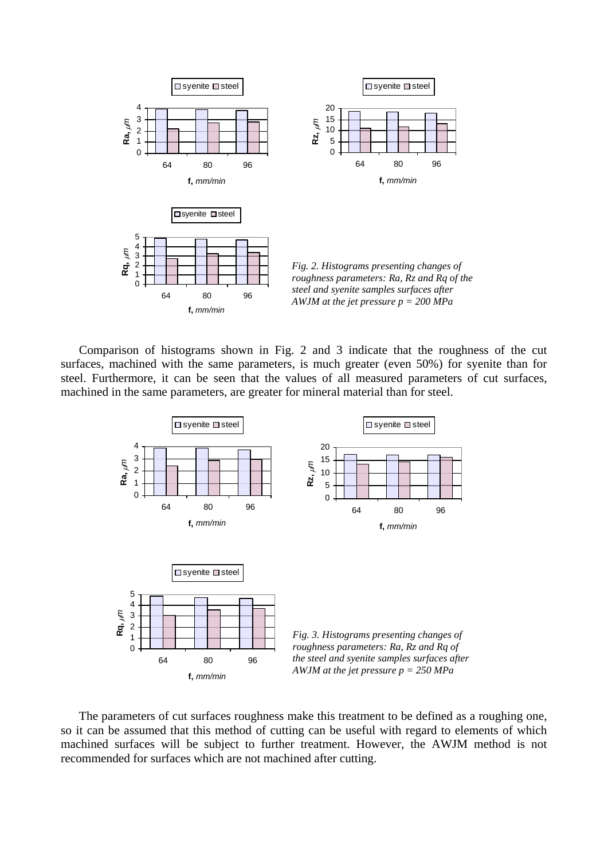

Comparison of histograms shown in Fig. 2 and 3 indicate that the roughness of the cut surfaces, machined with the same parameters, is much greater (even 50%) for syenite than for steel. Furthermore, it can be seen that the values of all measured parameters of cut surfaces, machined in the same parameters, are greater for mineral material than for steel.



The parameters of cut surfaces roughness make this treatment to be defined as a roughing one, so it can be assumed that this method of cutting can be useful with regard to elements of which machined surfaces will be subject to further treatment. However, the AWJM method is not recommended for surfaces which are not machined after cutting.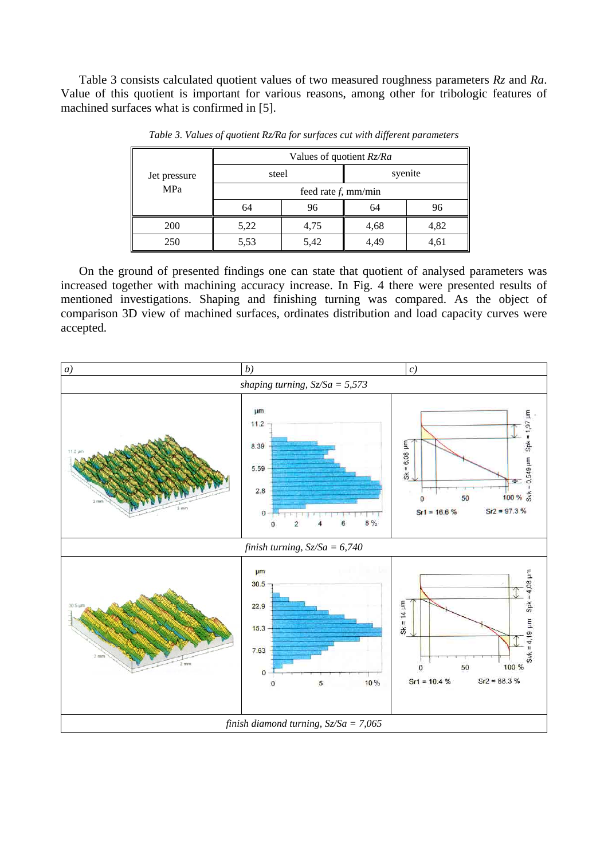Table 3 consists calculated quotient values of two measured roughness parameters *Rz* and *Ra*. Value of this quotient is important for various reasons, among other for tribologic features of machined surfaces what is confirmed in [5].

| Jet pressure<br>MPa | Values of quotient Rz/Ra |      |         |      |  |  |
|---------------------|--------------------------|------|---------|------|--|--|
|                     | steel                    |      | syenite |      |  |  |
|                     | feed rate $f$ , mm/min   |      |         |      |  |  |
|                     | 64                       | 96   | 64      | 96   |  |  |
| 200                 | 5,22                     | 4,75 | 4,68    | 4,82 |  |  |
| 250                 | 5,53                     | 5,42 | 4,49    | 4,61 |  |  |

*Table 3. Values of quotient Rz/Ra for surfaces cut with different parameters* 

On the ground of presented findings one can state that quotient of analysed parameters was increased together with machining accuracy increase. In Fig. 4 there were presented results of mentioned investigations. Shaping and finishing turning was compared. As the object of comparison 3D view of machined surfaces, ordinates distribution and load capacity curves were accepted.

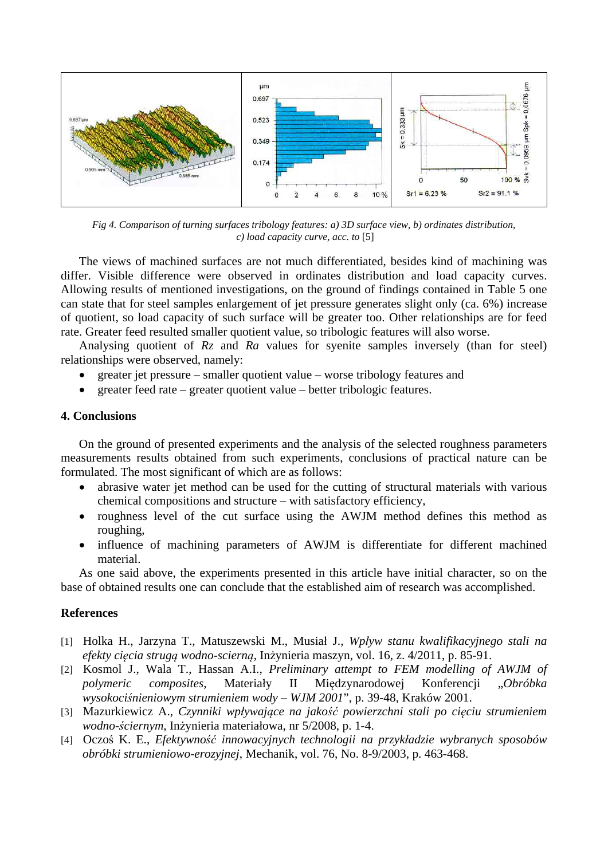

*Fig 4. Comparison of turning surfaces tribology features: a) 3D surface view, b) ordinates distribution, c) load capacity curve, acc. to* [5]

The views of machined surfaces are not much differentiated, besides kind of machining was differ. Visible difference were observed in ordinates distribution and load capacity curves. Allowing results of mentioned investigations, on the ground of findings contained in Table 5 one can state that for steel samples enlargement of jet pressure generates slight only (ca. 6%) increase of quotient, so load capacity of such surface will be greater too. Other relationships are for feed rate. Greater feed resulted smaller quotient value, so tribologic features will also worse.

Analysing quotient of *Rz* and *Ra* values for syenite samples inversely (than for steel) relationships were observed, namely:

- greater jet pressure smaller quotient value worse tribology features and
- greater feed rate greater quotient value better tribologic features.

# **4. Conclusions**

On the ground of presented experiments and the analysis of the selected roughness parameters measurements results obtained from such experiments, conclusions of practical nature can be formulated. The most significant of which are as follows:

- abrasive water jet method can be used for the cutting of structural materials with various chemical compositions and structure – with satisfactory efficiency,
- roughness level of the cut surface using the AWJM method defines this method as roughing,
- influence of machining parameters of AWJM is differentiate for different machined material.

As one said above, the experiments presented in this article have initial character, so on the base of obtained results one can conclude that the established aim of research was accomplished.

# **References**

- [1] Holka H., Jarzyna T., Matuszewski M., Musiał J., *Wpływ stanu kwalifikacyjnego stali na efekty cięcia strugą wodno-scierną*, Inżynieria maszyn, vol. 16, z. 4/2011, p. 85-91.
- [2] Kosmol J., Wala T., Hassan A.I., *Preliminary attempt to FEM modelling of AWJM of polymeric composites*, Materiały II Międzynarodowej Konferencji "*Obróbka wysokociśnieniowym strumieniem wody – WJM 2001*", p. 39-48, Kraków 2001.
- [3] Mazurkiewicz A., *Czynniki wpływające na jakość powierzchni stali po cięciu strumieniem wodno-ściernym*, Inżynieria materiałowa, nr 5/2008, p. 1-4.
- [4] Oczoś K. E., *Efektywność innowacyjnych technologii na przykładzie wybranych sposobów obróbki strumieniowo-erozyjnej*, Mechanik, vol. 76, No. 8-9/2003, p. 463-468.